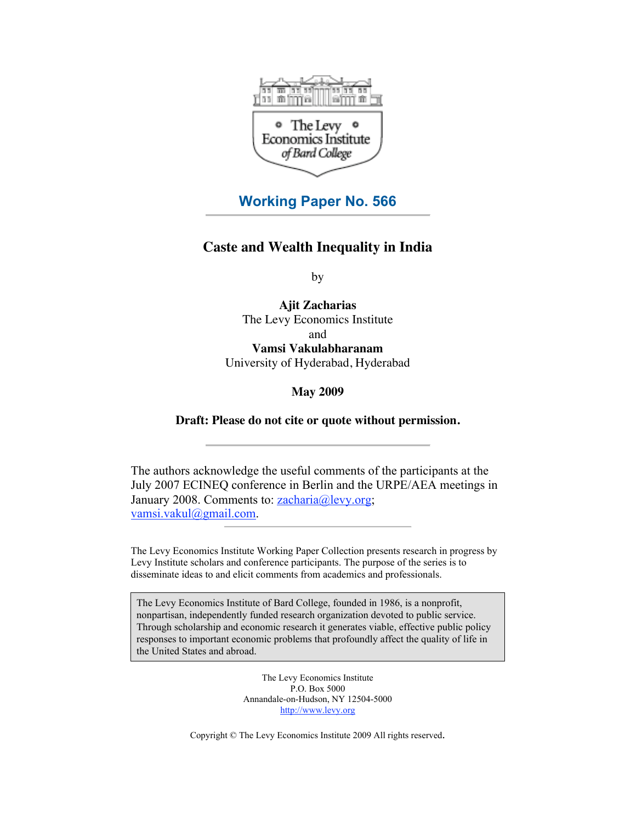

# **Working Paper No. 566**

## **Caste and Wealth Inequality in India**

by

**Ajit Zacharias** The Levy Economics Institute and **Vamsi Vakulabharanam** University of Hyderabad, Hyderabad

**May 2009**

## **Draft: Please do not cite or quote without permission.**

The authors acknowledge the useful comments of the participants at the July 2007 ECINEQ conference in Berlin and the URPE/AEA meetings in January 2008. Comments to: zacharia@levy.org; vamsi.vakul@gmail.com.

The Levy Economics Institute Working Paper Collection presents research in progress by Levy Institute scholars and conference participants. The purpose of the series is to disseminate ideas to and elicit comments from academics and professionals.

The Levy Economics Institute of Bard College, founded in 1986, is a nonprofit, nonpartisan, independently funded research organization devoted to public service. Through scholarship and economic research it generates viable, effective public policy responses to important economic problems that profoundly affect the quality of life in the United States and abroad.

> The Levy Economics Institute P.O. Box 5000 Annandale-on-Hudson, NY 12504-5000 http://www.levy.org

Copyright © The Levy Economics Institute 2009 All rights reserved.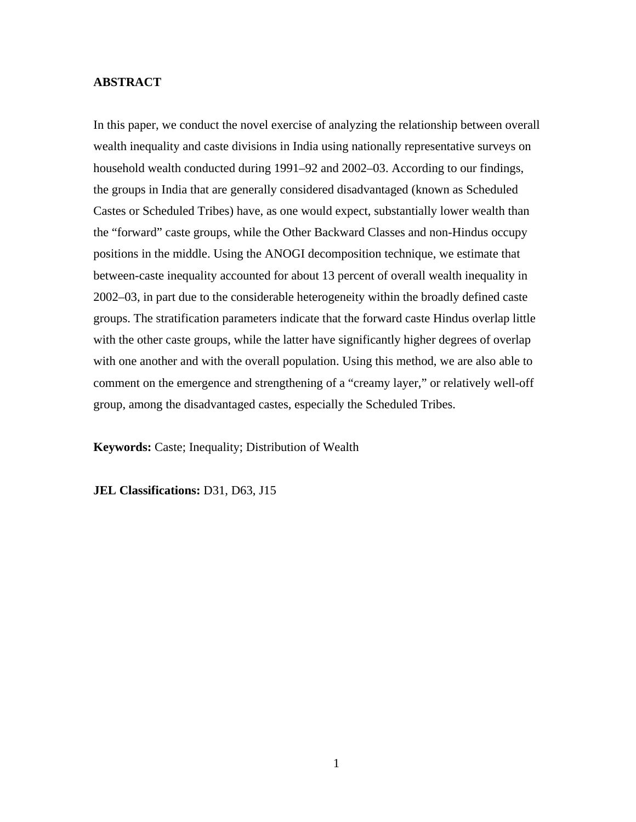## **ABSTRACT**

In this paper, we conduct the novel exercise of analyzing the relationship between overall wealth inequality and caste divisions in India using nationally representative surveys on household wealth conducted during 1991–92 and 2002–03. According to our findings, the groups in India that are generally considered disadvantaged (known as Scheduled Castes or Scheduled Tribes) have, as one would expect, substantially lower wealth than the "forward" caste groups, while the Other Backward Classes and non-Hindus occupy positions in the middle. Using the ANOGI decomposition technique, we estimate that between-caste inequality accounted for about 13 percent of overall wealth inequality in 2002–03, in part due to the considerable heterogeneity within the broadly defined caste groups. The stratification parameters indicate that the forward caste Hindus overlap little with the other caste groups, while the latter have significantly higher degrees of overlap with one another and with the overall population. Using this method, we are also able to comment on the emergence and strengthening of a "creamy layer," or relatively well-off group, among the disadvantaged castes, especially the Scheduled Tribes.

**Keywords:** Caste; Inequality; Distribution of Wealth

**JEL Classifications:** D31, D63, J15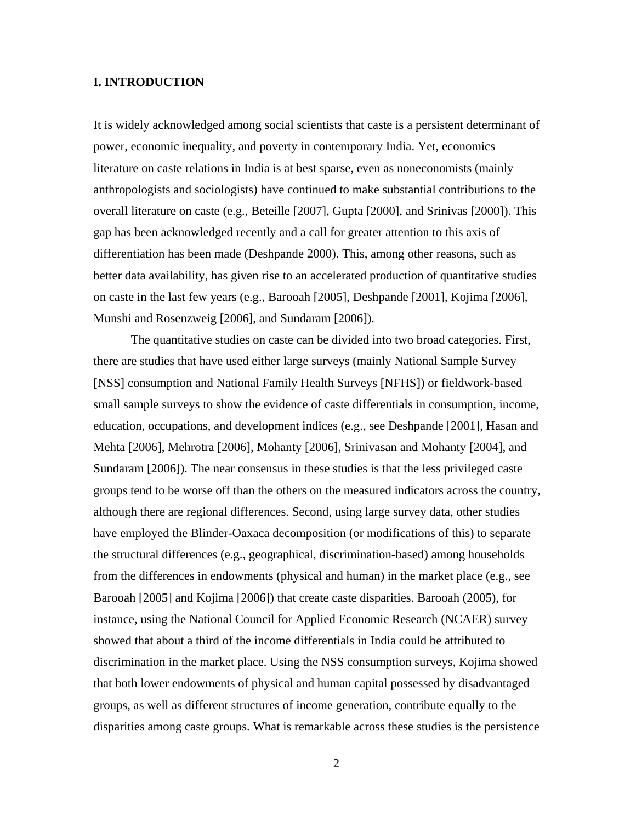## **I. INTRODUCTION**

It is widely acknowledged among social scientists that caste is a persistent determinant of power, economic inequality, and poverty in contemporary India. Yet, economics literature on caste relations in India is at best sparse, even as noneconomists (mainly anthropologists and sociologists) have continued to make substantial contributions to the overall literature on caste (e.g., Beteille [2007], Gupta [2000], and Srinivas [2000]). This gap has been acknowledged recently and a call for greater attention to this axis of differentiation has been made (Deshpande 2000). This, among other reasons, such as better data availability, has given rise to an accelerated production of quantitative studies on caste in the last few years (e.g., Barooah [2005], Deshpande [2001], Kojima [2006], Munshi and Rosenzweig [2006], and Sundaram [2006]).

The quantitative studies on caste can be divided into two broad categories. First, there are studies that have used either large surveys (mainly National Sample Survey [NSS] consumption and National Family Health Surveys [NFHS]) or fieldwork-based small sample surveys to show the evidence of caste differentials in consumption, income, education, occupations, and development indices (e.g., see Deshpande [2001], Hasan and Mehta [2006], Mehrotra [2006], Mohanty [2006], Srinivasan and Mohanty [2004], and Sundaram [2006]). The near consensus in these studies is that the less privileged caste groups tend to be worse off than the others on the measured indicators across the country, although there are regional differences. Second, using large survey data, other studies have employed the Blinder-Oaxaca decomposition (or modifications of this) to separate the structural differences (e.g., geographical, discrimination-based) among households from the differences in endowments (physical and human) in the market place (e.g., see Barooah [2005] and Kojima [2006]) that create caste disparities. Barooah (2005), for instance, using the National Council for Applied Economic Research (NCAER) survey showed that about a third of the income differentials in India could be attributed to discrimination in the market place. Using the NSS consumption surveys, Kojima showed that both lower endowments of physical and human capital possessed by disadvantaged groups, as well as different structures of income generation, contribute equally to the disparities among caste groups. What is remarkable across these studies is the persistence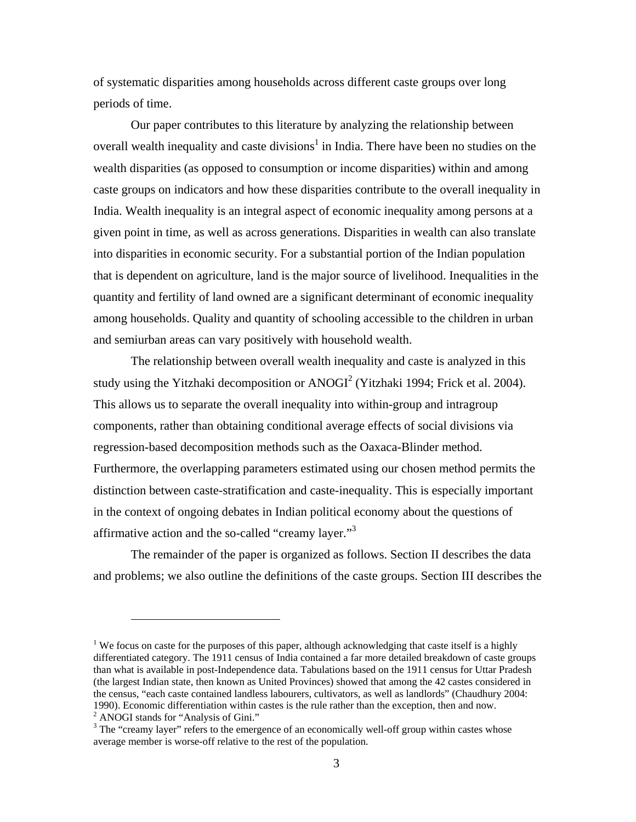of systematic disparities among households across different caste groups over long periods of time.

Our paper contributes to this literature by analyzing the relationship between overall wealth inequality and caste divisions<sup>1</sup> in India. There have been no studies on the wealth disparities (as opposed to consumption or income disparities) within and among caste groups on indicators and how these disparities contribute to the overall inequality in India. Wealth inequality is an integral aspect of economic inequality among persons at a given point in time, as well as across generations. Disparities in wealth can also translate into disparities in economic security. For a substantial portion of the Indian population that is dependent on agriculture, land is the major source of livelihood. Inequalities in the quantity and fertility of land owned are a significant determinant of economic inequality among households. Quality and quantity of schooling accessible to the children in urban and semiurban areas can vary positively with household wealth.

The relationship between overall wealth inequality and caste is analyzed in this study using the Yitzhaki decomposition or  $ANOGI<sup>2</sup>$  (Yitzhaki 1994; Frick et al. 2004). This allows us to separate the overall inequality into within-group and intragroup components, rather than obtaining conditional average effects of social divisions via regression-based decomposition methods such as the Oaxaca-Blinder method. Furthermore, the overlapping parameters estimated using our chosen method permits the distinction between caste-stratification and caste-inequality. This is especially important in the context of ongoing debates in Indian political economy about the questions of affirmative action and the so-called "creamy layer."<sup>3</sup>

The remainder of the paper is organized as follows. Section II describes the data and problems; we also outline the definitions of the caste groups. Section III describes the

 $\overline{a}$ 

<sup>&</sup>lt;sup>1</sup> We focus on caste for the purposes of this paper, although acknowledging that caste itself is a highly differentiated category. The 1911 census of India contained a far more detailed breakdown of caste groups than what is available in post-Independence data. Tabulations based on the 1911 census for Uttar Pradesh (the largest Indian state, then known as United Provinces) showed that among the 42 castes considered in the census, "each caste contained landless labourers, cultivators, as well as landlords" (Chaudhury 2004: 1990). Economic differentiation within castes is the rule rather than the exception, then and now. 2

<sup>&</sup>lt;sup>2</sup> ANOGI stands for "Analysis of Gini."

 $3$  The "creamy layer" refers to the emergence of an economically well-off group within castes whose average member is worse-off relative to the rest of the population.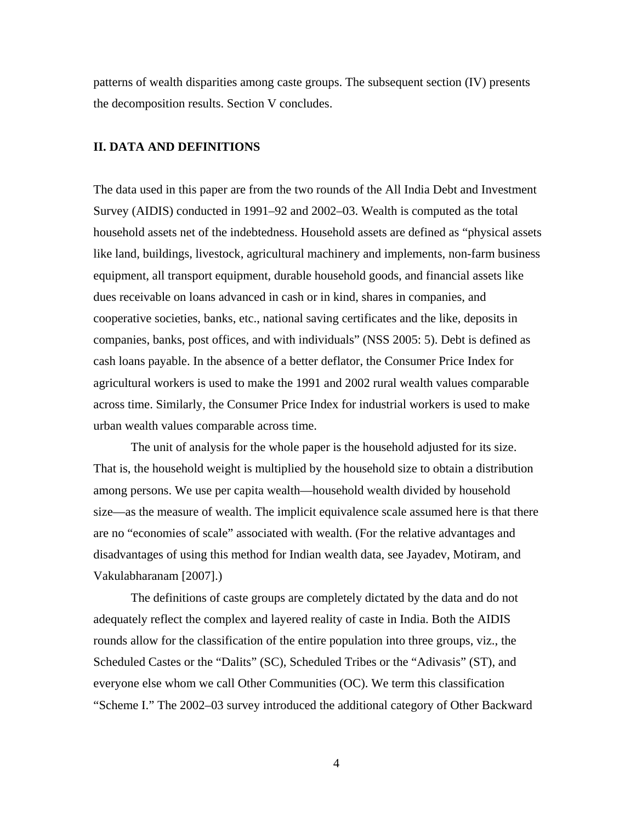patterns of wealth disparities among caste groups. The subsequent section (IV) presents the decomposition results. Section V concludes.

## **II. DATA AND DEFINITIONS**

The data used in this paper are from the two rounds of the All India Debt and Investment Survey (AIDIS) conducted in 1991–92 and 2002–03. Wealth is computed as the total household assets net of the indebtedness. Household assets are defined as "physical assets like land, buildings, livestock, agricultural machinery and implements, non-farm business equipment, all transport equipment, durable household goods, and financial assets like dues receivable on loans advanced in cash or in kind, shares in companies, and cooperative societies, banks, etc., national saving certificates and the like, deposits in companies, banks, post offices, and with individuals" (NSS 2005: 5). Debt is defined as cash loans payable. In the absence of a better deflator, the Consumer Price Index for agricultural workers is used to make the 1991 and 2002 rural wealth values comparable across time. Similarly, the Consumer Price Index for industrial workers is used to make urban wealth values comparable across time.

The unit of analysis for the whole paper is the household adjusted for its size. That is, the household weight is multiplied by the household size to obtain a distribution among persons. We use per capita wealth—household wealth divided by household size—as the measure of wealth. The implicit equivalence scale assumed here is that there are no "economies of scale" associated with wealth. (For the relative advantages and disadvantages of using this method for Indian wealth data, see Jayadev, Motiram, and Vakulabharanam [2007].)

The definitions of caste groups are completely dictated by the data and do not adequately reflect the complex and layered reality of caste in India. Both the AIDIS rounds allow for the classification of the entire population into three groups, viz., the Scheduled Castes or the "Dalits" (SC), Scheduled Tribes or the "Adivasis" (ST), and everyone else whom we call Other Communities (OC). We term this classification "Scheme I." The 2002–03 survey introduced the additional category of Other Backward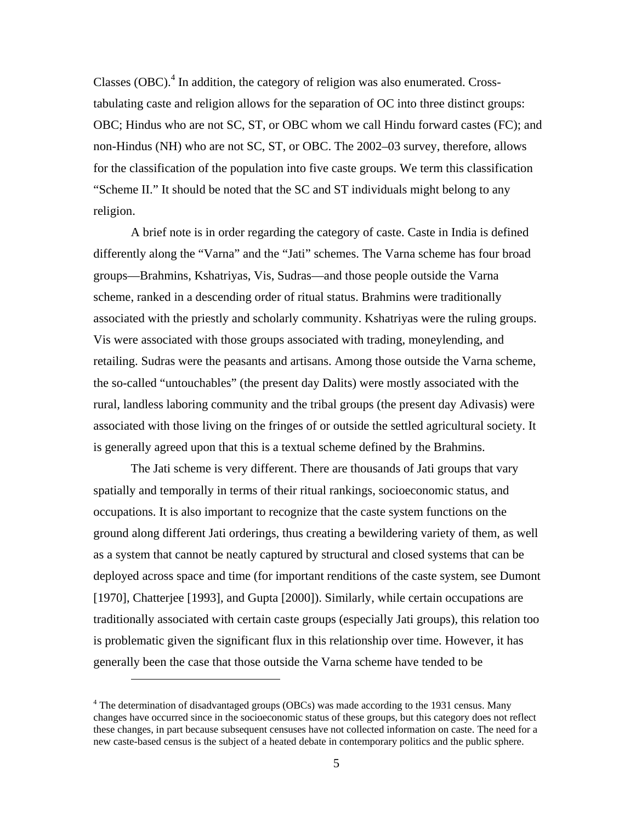Classes (OBC). $<sup>4</sup>$  In addition, the category of religion was also enumerated. Cross-</sup> tabulating caste and religion allows for the separation of OC into three distinct groups: OBC; Hindus who are not SC, ST, or OBC whom we call Hindu forward castes (FC); and non-Hindus (NH) who are not SC, ST, or OBC. The 2002–03 survey, therefore, allows for the classification of the population into five caste groups. We term this classification "Scheme II." It should be noted that the SC and ST individuals might belong to any religion.

A brief note is in order regarding the category of caste. Caste in India is defined differently along the "Varna" and the "Jati" schemes. The Varna scheme has four broad groups—Brahmins, Kshatriyas, Vis, Sudras—and those people outside the Varna scheme, ranked in a descending order of ritual status. Brahmins were traditionally associated with the priestly and scholarly community. Kshatriyas were the ruling groups. Vis were associated with those groups associated with trading, moneylending, and retailing. Sudras were the peasants and artisans. Among those outside the Varna scheme, the so-called "untouchables" (the present day Dalits) were mostly associated with the rural, landless laboring community and the tribal groups (the present day Adivasis) were associated with those living on the fringes of or outside the settled agricultural society. It is generally agreed upon that this is a textual scheme defined by the Brahmins.

The Jati scheme is very different. There are thousands of Jati groups that vary spatially and temporally in terms of their ritual rankings, socioeconomic status, and occupations. It is also important to recognize that the caste system functions on the ground along different Jati orderings, thus creating a bewildering variety of them, as well as a system that cannot be neatly captured by structural and closed systems that can be deployed across space and time (for important renditions of the caste system, see Dumont [1970], Chatterjee [1993], and Gupta [2000]). Similarly, while certain occupations are traditionally associated with certain caste groups (especially Jati groups), this relation too is problematic given the significant flux in this relationship over time. However, it has generally been the case that those outside the Varna scheme have tended to be

<sup>&</sup>lt;sup>4</sup> The determination of disadvantaged groups (OBCs) was made according to the 1931 census. Many changes have occurred since in the socioeconomic status of these groups, but this category does not reflect these changes, in part because subsequent censuses have not collected information on caste. The need for a new caste-based census is the subject of a heated debate in contemporary politics and the public sphere.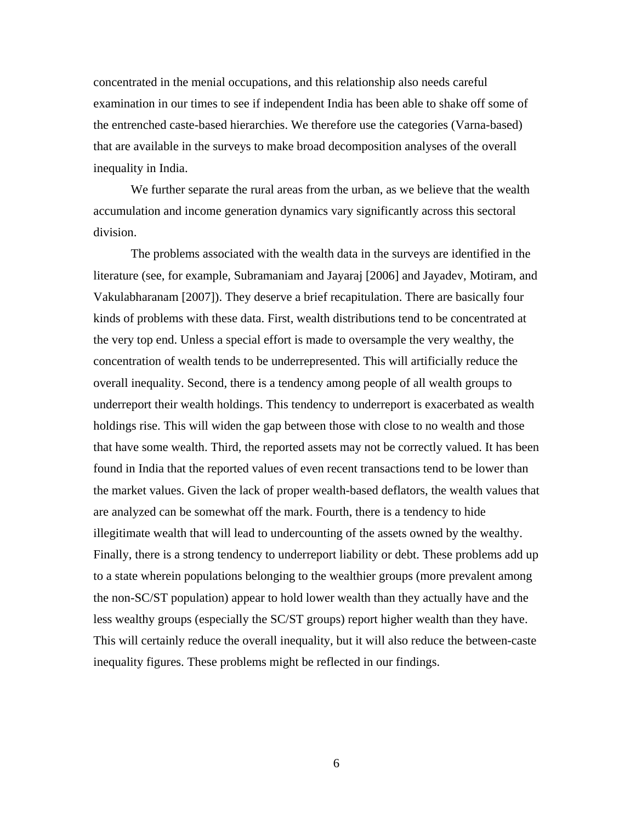concentrated in the menial occupations, and this relationship also needs careful examination in our times to see if independent India has been able to shake off some of the entrenched caste-based hierarchies. We therefore use the categories (Varna-based) that are available in the surveys to make broad decomposition analyses of the overall inequality in India.

We further separate the rural areas from the urban, as we believe that the wealth accumulation and income generation dynamics vary significantly across this sectoral division.

The problems associated with the wealth data in the surveys are identified in the literature (see, for example, Subramaniam and Jayaraj [2006] and Jayadev, Motiram, and Vakulabharanam [2007]). They deserve a brief recapitulation. There are basically four kinds of problems with these data. First, wealth distributions tend to be concentrated at the very top end. Unless a special effort is made to oversample the very wealthy, the concentration of wealth tends to be underrepresented. This will artificially reduce the overall inequality. Second, there is a tendency among people of all wealth groups to underreport their wealth holdings. This tendency to underreport is exacerbated as wealth holdings rise. This will widen the gap between those with close to no wealth and those that have some wealth. Third, the reported assets may not be correctly valued. It has been found in India that the reported values of even recent transactions tend to be lower than the market values. Given the lack of proper wealth-based deflators, the wealth values that are analyzed can be somewhat off the mark. Fourth, there is a tendency to hide illegitimate wealth that will lead to undercounting of the assets owned by the wealthy. Finally, there is a strong tendency to underreport liability or debt. These problems add up to a state wherein populations belonging to the wealthier groups (more prevalent among the non-SC/ST population) appear to hold lower wealth than they actually have and the less wealthy groups (especially the SC/ST groups) report higher wealth than they have. This will certainly reduce the overall inequality, but it will also reduce the between-caste inequality figures. These problems might be reflected in our findings.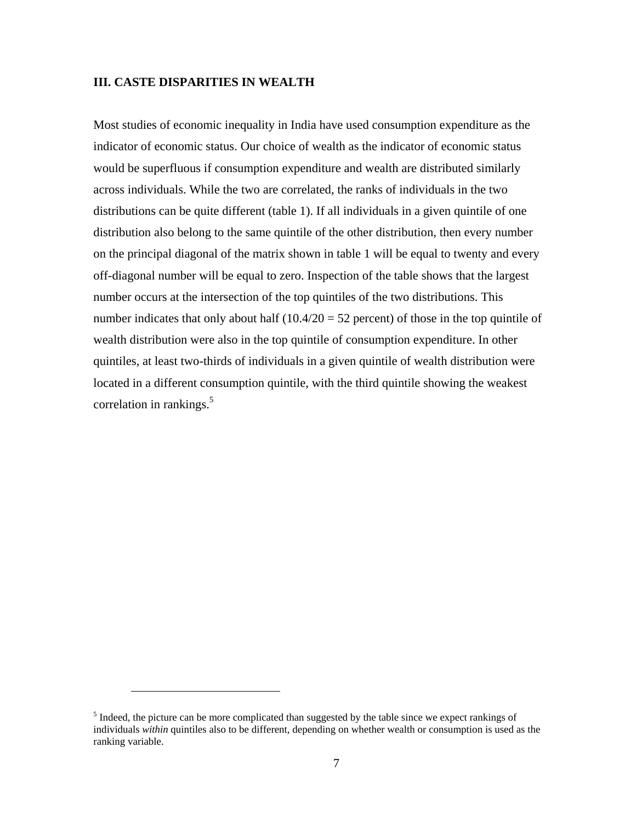## **III. CASTE DISPARITIES IN WEALTH**

Most studies of economic inequality in India have used consumption expenditure as the indicator of economic status. Our choice of wealth as the indicator of economic status would be superfluous if consumption expenditure and wealth are distributed similarly across individuals. While the two are correlated, the ranks of individuals in the two distributions can be quite different (table 1). If all individuals in a given quintile of one distribution also belong to the same quintile of the other distribution, then every number on the principal diagonal of the matrix shown in table 1 will be equal to twenty and every off-diagonal number will be equal to zero. Inspection of the table shows that the largest number occurs at the intersection of the top quintiles of the two distributions. This number indicates that only about half  $(10.4/20 = 52$  percent) of those in the top quintile of wealth distribution were also in the top quintile of consumption expenditure. In other quintiles, at least two-thirds of individuals in a given quintile of wealth distribution were located in a different consumption quintile, with the third quintile showing the weakest correlation in rankings. $5$ 

 $\overline{a}$ 

<sup>&</sup>lt;sup>5</sup> Indeed, the picture can be more complicated than suggested by the table since we expect rankings of individuals *within* quintiles also to be different, depending on whether wealth or consumption is used as the ranking variable.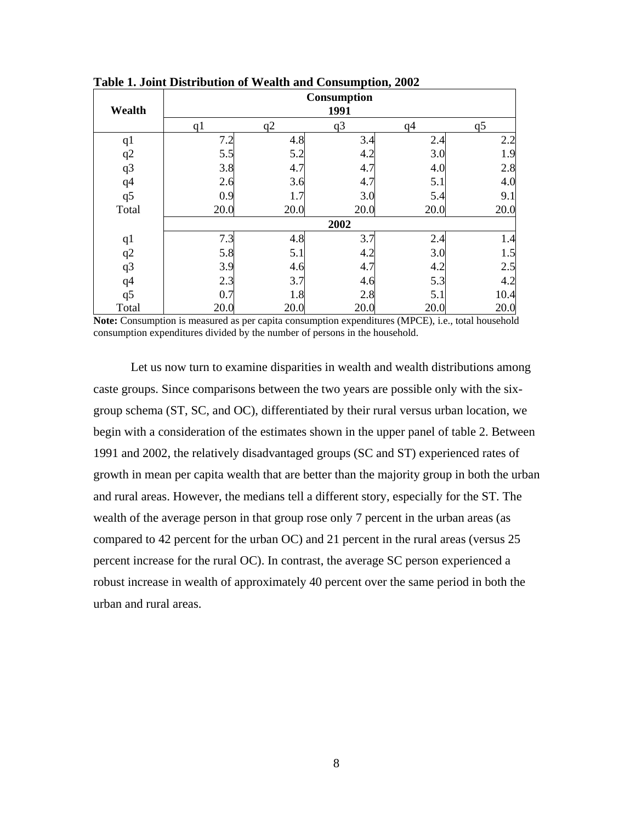| Wealth         | Consumption<br>1991 |      |                |                |      |  |  |  |  |  |  |
|----------------|---------------------|------|----------------|----------------|------|--|--|--|--|--|--|
|                | q1                  | q2   | q <sub>3</sub> | q <sub>4</sub> | q5   |  |  |  |  |  |  |
| q <sub>1</sub> | 7.2                 | 4.8  | 3.4            | 2.4            | 2.2  |  |  |  |  |  |  |
| q2             | 5.5                 | 5.2  | 4.2            | 3.0            | 1.9  |  |  |  |  |  |  |
| q <sub>3</sub> | 3.8                 | 4.7  | 4.7            | 4.0            | 2.8  |  |  |  |  |  |  |
| q <sub>4</sub> | 2.6                 | 3.6  | 4.7            | 5.1            | 4.0  |  |  |  |  |  |  |
| q5             | 0.9                 | 1.7  | 3.0            | 5.4            | 9.1  |  |  |  |  |  |  |
| Total          | 20.0                | 20.0 | 20.0           | 20.0           | 20.0 |  |  |  |  |  |  |
|                |                     |      | 2002           |                |      |  |  |  |  |  |  |
| q <sub>1</sub> | 7.3                 | 4.8  | 3.7            | 2.4            | 1.4  |  |  |  |  |  |  |
|                | 5.8                 | 5.1  | 4.2            | 3.0            | 1.5  |  |  |  |  |  |  |
| $q2$<br>$q3$   | 3.9                 | 4.6  | 4.7            | 4.2            | 2.5  |  |  |  |  |  |  |
| q4             | 2.3                 | 3.7  | 4.6            | 5.3            | 4.2  |  |  |  |  |  |  |
| q5             | 0.7                 | 1.8  | 2.8            | 5.1            | 10.4 |  |  |  |  |  |  |
| Total          | 20.0                | 20.0 | 20.0           | 20.0           | 20.0 |  |  |  |  |  |  |

**Table 1. Joint Distribution of Wealth and Consumption, 2002** 

**Note:** Consumption is measured as per capita consumption expenditures (MPCE), i.e., total household consumption expenditures divided by the number of persons in the household.

Let us now turn to examine disparities in wealth and wealth distributions among caste groups. Since comparisons between the two years are possible only with the sixgroup schema (ST, SC, and OC), differentiated by their rural versus urban location, we begin with a consideration of the estimates shown in the upper panel of table 2. Between 1991 and 2002, the relatively disadvantaged groups (SC and ST) experienced rates of growth in mean per capita wealth that are better than the majority group in both the urban and rural areas. However, the medians tell a different story, especially for the ST. The wealth of the average person in that group rose only 7 percent in the urban areas (as compared to 42 percent for the urban OC) and 21 percent in the rural areas (versus 25 percent increase for the rural OC). In contrast, the average SC person experienced a robust increase in wealth of approximately 40 percent over the same period in both the urban and rural areas.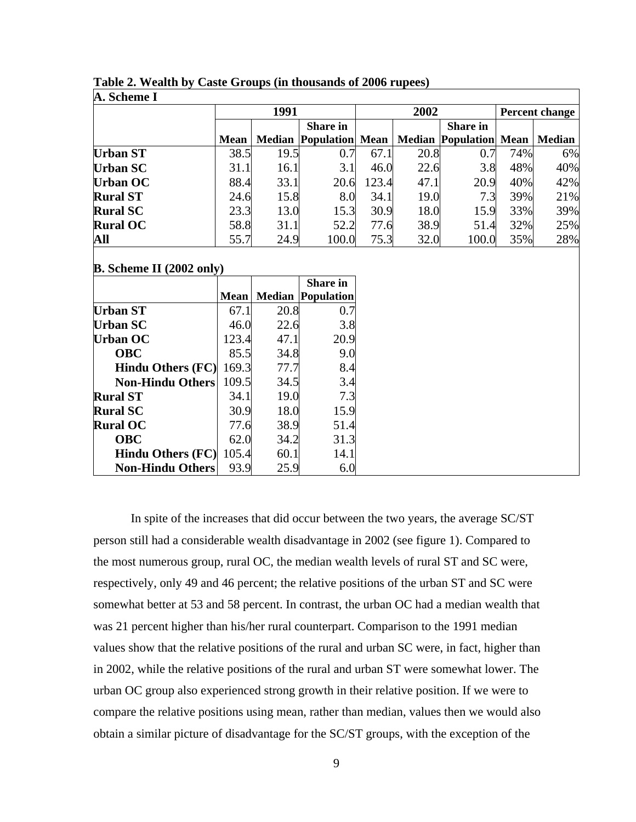|                 |             | 1991 |                               |       | 2002 | Percent change                |     |               |
|-----------------|-------------|------|-------------------------------|-------|------|-------------------------------|-----|---------------|
|                 |             |      | <b>Share in</b>               |       |      | Share in                      |     |               |
|                 | <b>Mean</b> |      | <b>Median Population Mean</b> |       |      | <b>Median Population Mean</b> |     | <b>Median</b> |
| <b>Urban ST</b> | 38.5        | 19.5 | 0.7                           | 67.1  | 20.8 | 0.7                           | 74% | 6%            |
| <b>Urban SC</b> | 31.1        | 16.1 | 3.1                           | 46.0  | 22.6 | 3.8                           | 48% | 40%           |
| Urban OC        | 88.4        | 33.1 | 20.6                          | 123.4 | 47.1 | 20.9                          | 40% | 42%           |
| <b>Rural ST</b> | 24.6        | 15.8 | 8.0                           | 34.1  | 19.0 | 7.3                           | 39% | 21%           |
| <b>Rural SC</b> | 23.3        | 13.0 | 15.3                          | 30.9  | 18.0 | 15.9                          | 33% | 39%           |
| <b>Rural OC</b> | 58.8        | 31.1 | 52.2                          | 77.6  | 38.9 | 51.4                          | 32% | 25%           |
| All             | 55.7        | 24.9 | 100.0                         | 75.3  | 32.0 | 100.0                         | 35% | 28%           |

**Table 2. Wealth by Caste Groups (in thousands of 2006 rupees) A. Scheme I** 

## **B. Scheme II (2002 only)**

|                          |             |      | <b>Share in</b>          |
|--------------------------|-------------|------|--------------------------|
|                          | <b>Mean</b> |      | <b>Median Population</b> |
| <b>Urban ST</b>          | 67.1        | 20.8 | 0.7                      |
| Urban SC                 | 46.0        | 22.6 | 3.8                      |
| Urban OC                 | 123.4       | 47.1 | 20.9                     |
| <b>OBC</b>               | 85.5        | 34.8 | 9.0                      |
| <b>Hindu Others (FC)</b> | 169.3       | 77.7 | 8.4                      |
| <b>Non-Hindu Others</b>  | 109.5       | 34.5 | 3.4                      |
| <b>Rural ST</b>          | 34.1        | 19.0 | 7.3                      |
| <b>Rural SC</b>          | 30.9        | 18.0 | 15.9                     |
| Rural OC                 | 77.6        | 38.9 | 51.4                     |
| <b>OBC</b>               | 62.0        | 34.2 | 31.3                     |
| Hindu Others (FC)        | 105.4       | 60.1 | 14.1                     |
| <b>Non-Hindu Others</b>  | 93.9        | 25.9 | 6.0                      |

In spite of the increases that did occur between the two years, the average SC/ST person still had a considerable wealth disadvantage in 2002 (see figure 1). Compared to the most numerous group, rural OC, the median wealth levels of rural ST and SC were, respectively, only 49 and 46 percent; the relative positions of the urban ST and SC were somewhat better at 53 and 58 percent. In contrast, the urban OC had a median wealth that was 21 percent higher than his/her rural counterpart. Comparison to the 1991 median values show that the relative positions of the rural and urban SC were, in fact, higher than in 2002, while the relative positions of the rural and urban ST were somewhat lower. The urban OC group also experienced strong growth in their relative position. If we were to compare the relative positions using mean, rather than median, values then we would also obtain a similar picture of disadvantage for the SC/ST groups, with the exception of the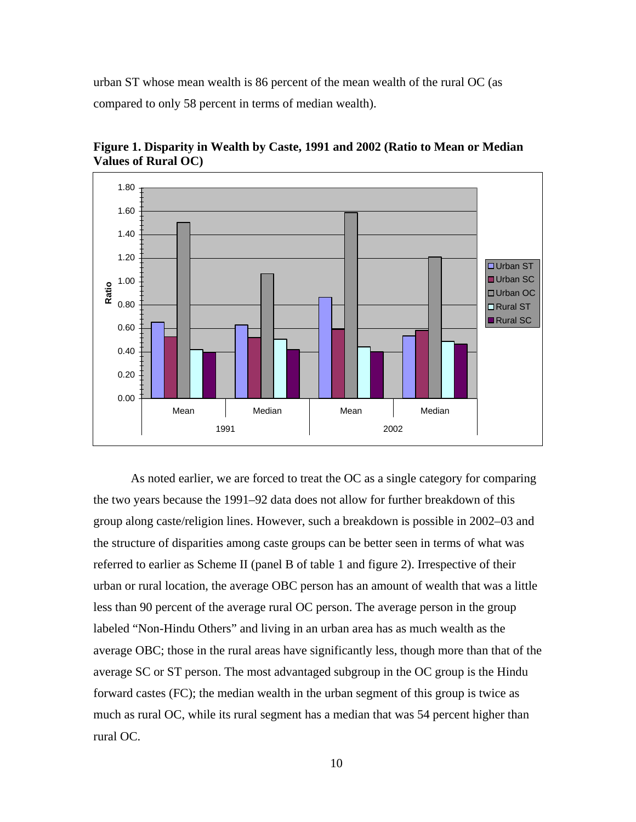urban ST whose mean wealth is 86 percent of the mean wealth of the rural OC (as compared to only 58 percent in terms of median wealth).



**Figure 1. Disparity in Wealth by Caste, 1991 and 2002 (Ratio to Mean or Median Values of Rural OC)** 

As noted earlier, we are forced to treat the OC as a single category for comparing the two years because the 1991–92 data does not allow for further breakdown of this group along caste/religion lines. However, such a breakdown is possible in 2002–03 and the structure of disparities among caste groups can be better seen in terms of what was referred to earlier as Scheme II (panel B of table 1 and figure 2). Irrespective of their urban or rural location, the average OBC person has an amount of wealth that was a little less than 90 percent of the average rural OC person. The average person in the group labeled "Non-Hindu Others" and living in an urban area has as much wealth as the average OBC; those in the rural areas have significantly less, though more than that of the average SC or ST person. The most advantaged subgroup in the OC group is the Hindu forward castes (FC); the median wealth in the urban segment of this group is twice as much as rural OC, while its rural segment has a median that was 54 percent higher than rural OC.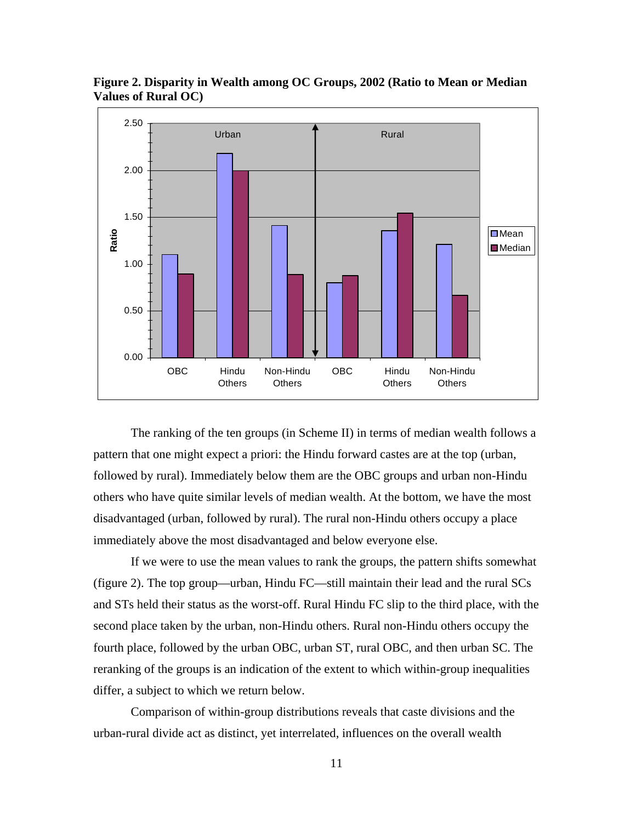

**Figure 2. Disparity in Wealth among OC Groups, 2002 (Ratio to Mean or Median Values of Rural OC)** 

The ranking of the ten groups (in Scheme II) in terms of median wealth follows a pattern that one might expect a priori: the Hindu forward castes are at the top (urban, followed by rural). Immediately below them are the OBC groups and urban non-Hindu others who have quite similar levels of median wealth. At the bottom, we have the most disadvantaged (urban, followed by rural). The rural non-Hindu others occupy a place immediately above the most disadvantaged and below everyone else.

If we were to use the mean values to rank the groups, the pattern shifts somewhat (figure 2). The top group—urban, Hindu FC—still maintain their lead and the rural SCs and STs held their status as the worst-off. Rural Hindu FC slip to the third place, with the second place taken by the urban, non-Hindu others. Rural non-Hindu others occupy the fourth place, followed by the urban OBC, urban ST, rural OBC, and then urban SC. The reranking of the groups is an indication of the extent to which within-group inequalities differ, a subject to which we return below.

Comparison of within-group distributions reveals that caste divisions and the urban-rural divide act as distinct, yet interrelated, influences on the overall wealth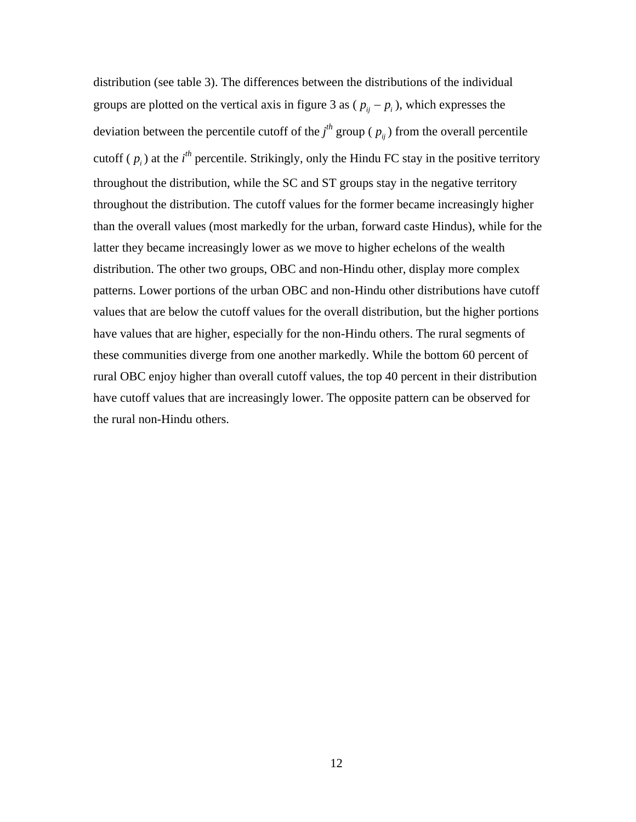distribution (see table 3). The differences between the distributions of the individual groups are plotted on the vertical axis in figure 3 as ( $p_{ij} - p_i$ ), which expresses the deviation between the percentile cutoff of the  $j<sup>th</sup>$  group ( $p<sub>ij</sub>$ ) from the overall percentile cutoff ( $p_i$ ) at the *i*<sup>th</sup> percentile. Strikingly, only the Hindu FC stay in the positive territory throughout the distribution, while the SC and ST groups stay in the negative territory throughout the distribution. The cutoff values for the former became increasingly higher than the overall values (most markedly for the urban, forward caste Hindus), while for the latter they became increasingly lower as we move to higher echelons of the wealth distribution. The other two groups, OBC and non-Hindu other, display more complex patterns. Lower portions of the urban OBC and non-Hindu other distributions have cutoff values that are below the cutoff values for the overall distribution, but the higher portions have values that are higher, especially for the non-Hindu others. The rural segments of these communities diverge from one another markedly. While the bottom 60 percent of rural OBC enjoy higher than overall cutoff values, the top 40 percent in their distribution have cutoff values that are increasingly lower. The opposite pattern can be observed for the rural non-Hindu others.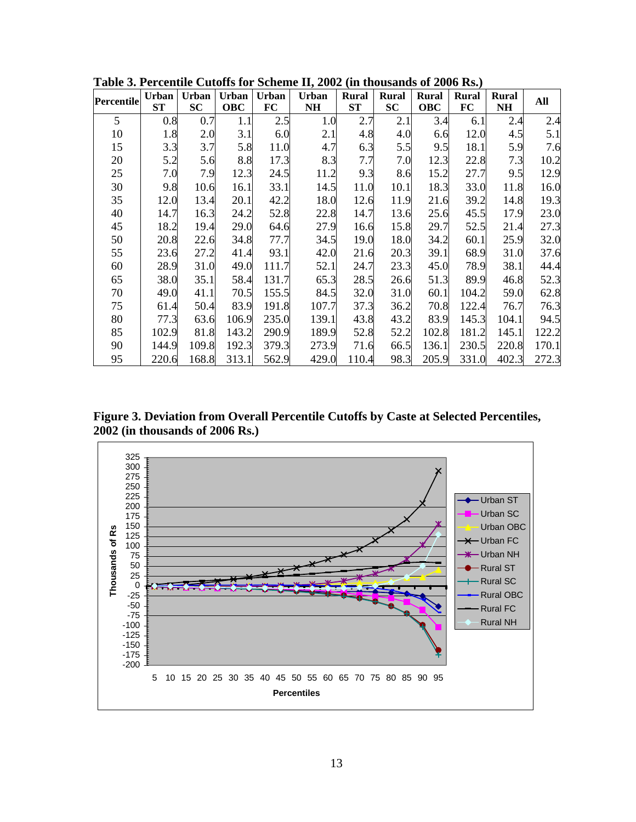| Percentile | Urban     | <b>Urban</b> | <b>Urban</b> | <b>Urban</b> | <b>Urban</b> | <b>Rural</b> | <b>Rural</b> | Rural      | <b>Rural</b> | Rural          | All   |
|------------|-----------|--------------|--------------|--------------|--------------|--------------|--------------|------------|--------------|----------------|-------|
|            | <b>ST</b> | <b>SC</b>    | <b>OBC</b>   | FC           | NH           | ST           | <b>SC</b>    | <b>OBC</b> | <b>FC</b>    | N <sub>H</sub> |       |
| 5          | 0.8       | 0.7          | 1.1          | 2.5          | 1.0          | 2.7          | 2.1          | 3.4        | 6.1          | 2.4            | 2.4   |
| 10         | 1.8       | 2.0          | 3.1          | 6.0          | 2.1          | 4.8          | 4.0          | 6.6        | 12.0         | 4.5            | 5.1   |
| 15         | 3.3       | 3.7          | 5.8          | 11.0         | 4.7          | 6.3          | 5.5          | 9.5        | 18.1         | 5.9            | 7.6   |
| 20         | 5.2       | 5.6          | 8.8          | 17.3         | 8.3          | 7.7          | 7.0          | 12.3       | 22.8         | 7.3            | 10.2  |
| 25         | 7.0       | 7.9          | 12.3         | 24.5         | 11.2         | 9.3          | 8.6          | 15.2       | 27.7         | 9.5            | 12.9  |
| 30         | 9.8       | 10.6         | 16.1         | 33.1         | 14.5         | 11.0         | 10.1         | 18.3       | 33.0         | 11.8           | 16.0  |
| 35         | 12.0      | 13.4         | 20.1         | 42.2         | 18.0         | 12.6         | 11.9         | 21.6       | 39.2         | 14.8           | 19.3  |
| 40         | 14.7      | 16.3         | 24.2         | 52.8         | 22.8         | 14.7         | 13.6         | 25.6       | 45.5         | 17.9           | 23.0  |
| 45         | 18.2      | 19.4         | 29.0         | 64.6         | 27.9         | 16.6         | 15.8         | 29.7       | 52.5         | 21.4           | 27.3  |
| 50         | 20.8      | 22.6         | 34.8         | 77.7         | 34.5         | 19.0         | 18.0         | 34.2       | 60.1         | 25.9           | 32.0  |
| 55         | 23.6      | 27.2         | 41.4         | 93.1         | 42.0         | 21.6         | 20.3         | 39.1       | 68.9         | 31.0           | 37.6  |
| 60         | 28.9      | 31.0         | 49.0         | 111.7        | 52.1         | 24.7         | 23.3         | 45.0       | 78.9         | 38.1           | 44.4  |
| 65         | 38.0      | 35.1         | 58.4         | 131.7        | 65.3         | 28.5         | 26.6         | 51.3       | 89.9         | 46.8           | 52.3  |
| 70         | 49.0      | 41.1         | 70.5         | 155.5        | 84.5         | 32.0         | 31.0         | 60.1       | 104.2        | 59.0           | 62.8  |
| 75         | 61.4      | 50.4         | 83.9         | 191.8        | 107.7        | 37.3         | 36.2         | 70.8       | 122.4        | 76.7           | 76.3  |
| 80         | 77.3      | 63.6         | 106.9        | 235.0        | 139.1        | 43.8         | 43.2         | 83.9       | 145.3        | 104.1          | 94.5  |
| 85         | 102.9     | 81.8         | 143.2        | 290.9        | 189.9        | 52.8         | 52.2         | 102.8      | 181.2        | 145.1          | 122.2 |
| 90         | 144.9     | 109.8        | 192.3        | 379.3        | 273.9        | 71.6         | 66.5         | 136.1      | 230.5        | 220.8          | 170.1 |
| 95         | 220.6     | 168.8        | 313.1        | 562.9        | 429.0        | 110.4        | 98.3         | 205.9      | 331.0        | 402.3          | 272.3 |

**Table 3. Percentile Cutoffs for Scheme II, 2002 (in thousands of 2006 Rs.)** 

**Figure 3. Deviation from Overall Percentile Cutoffs by Caste at Selected Percentiles, 2002 (in thousands of 2006 Rs.)** 

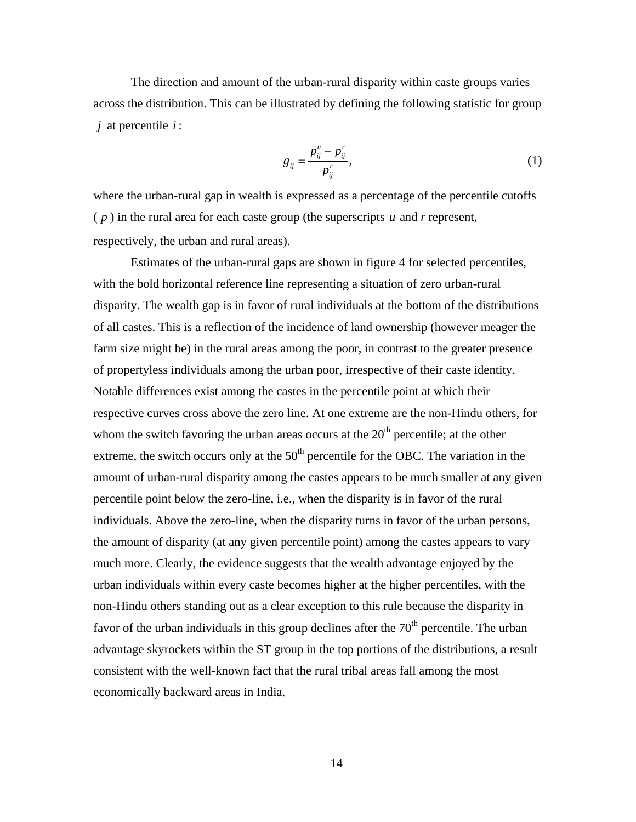The direction and amount of the urban-rural disparity within caste groups varies across the distribution. This can be illustrated by defining the following statistic for group *j* at percentile *i* :

$$
g_{ij} = \frac{p_{ij}^u - p_{ij}^r}{p_{ij}^r},
$$
 (1)

where the urban-rural gap in wealth is expressed as a percentage of the percentile cutoffs  $(p)$  in the rural area for each caste group (the superscripts *u* and *r* represent, respectively, the urban and rural areas).

Estimates of the urban-rural gaps are shown in figure 4 for selected percentiles, with the bold horizontal reference line representing a situation of zero urban-rural disparity. The wealth gap is in favor of rural individuals at the bottom of the distributions of all castes. This is a reflection of the incidence of land ownership (however meager the farm size might be) in the rural areas among the poor, in contrast to the greater presence of propertyless individuals among the urban poor, irrespective of their caste identity. Notable differences exist among the castes in the percentile point at which their respective curves cross above the zero line. At one extreme are the non-Hindu others, for whom the switch favoring the urban areas occurs at the  $20<sup>th</sup>$  percentile; at the other extreme, the switch occurs only at the  $50<sup>th</sup>$  percentile for the OBC. The variation in the amount of urban-rural disparity among the castes appears to be much smaller at any given percentile point below the zero-line, i.e., when the disparity is in favor of the rural individuals. Above the zero-line, when the disparity turns in favor of the urban persons, the amount of disparity (at any given percentile point) among the castes appears to vary much more. Clearly, the evidence suggests that the wealth advantage enjoyed by the urban individuals within every caste becomes higher at the higher percentiles, with the non-Hindu others standing out as a clear exception to this rule because the disparity in favor of the urban individuals in this group declines after the  $70<sup>th</sup>$  percentile. The urban advantage skyrockets within the ST group in the top portions of the distributions, a result consistent with the well-known fact that the rural tribal areas fall among the most economically backward areas in India.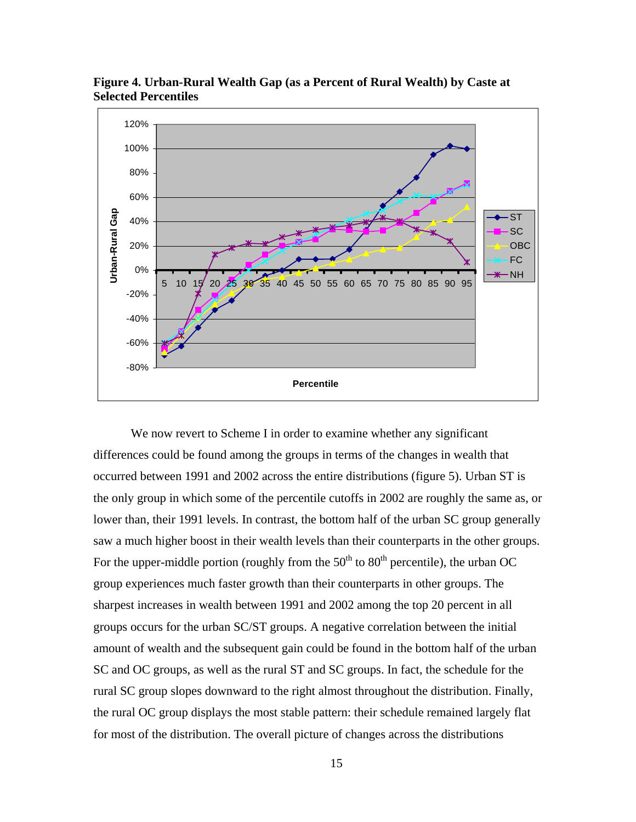

**Figure 4. Urban-Rural Wealth Gap (as a Percent of Rural Wealth) by Caste at Selected Percentiles** 

We now revert to Scheme I in order to examine whether any significant differences could be found among the groups in terms of the changes in wealth that occurred between 1991 and 2002 across the entire distributions (figure 5). Urban ST is the only group in which some of the percentile cutoffs in 2002 are roughly the same as, or lower than, their 1991 levels. In contrast, the bottom half of the urban SC group generally saw a much higher boost in their wealth levels than their counterparts in the other groups. For the upper-middle portion (roughly from the  $50<sup>th</sup>$  to  $80<sup>th</sup>$  percentile), the urban OC group experiences much faster growth than their counterparts in other groups. The sharpest increases in wealth between 1991 and 2002 among the top 20 percent in all groups occurs for the urban SC/ST groups. A negative correlation between the initial amount of wealth and the subsequent gain could be found in the bottom half of the urban SC and OC groups, as well as the rural ST and SC groups. In fact, the schedule for the rural SC group slopes downward to the right almost throughout the distribution. Finally, the rural OC group displays the most stable pattern: their schedule remained largely flat for most of the distribution. The overall picture of changes across the distributions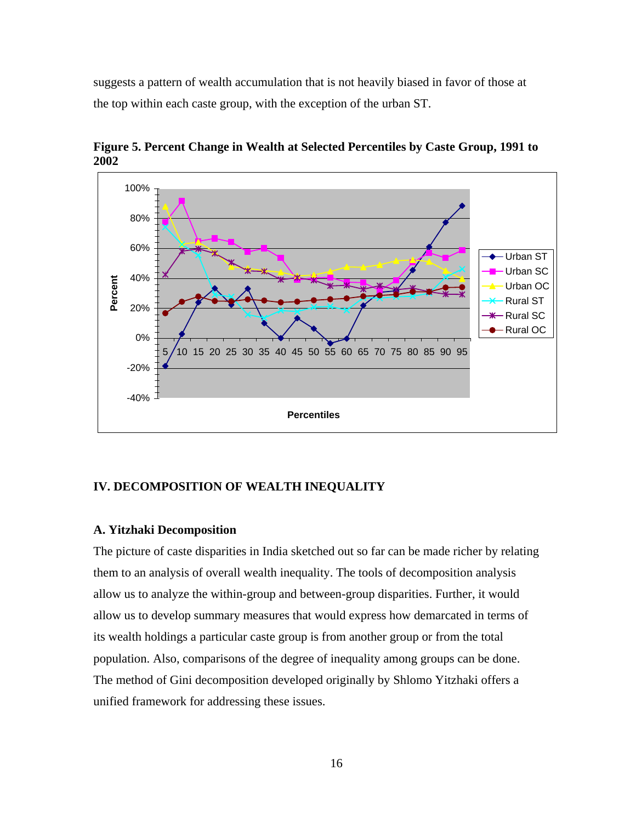suggests a pattern of wealth accumulation that is not heavily biased in favor of those at the top within each caste group, with the exception of the urban ST.



**Figure 5. Percent Change in Wealth at Selected Percentiles by Caste Group, 1991 to 2002** 

## **IV. DECOMPOSITION OF WEALTH INEQUALITY**

## **A. Yitzhaki Decomposition**

The picture of caste disparities in India sketched out so far can be made richer by relating them to an analysis of overall wealth inequality. The tools of decomposition analysis allow us to analyze the within-group and between-group disparities. Further, it would allow us to develop summary measures that would express how demarcated in terms of its wealth holdings a particular caste group is from another group or from the total population. Also, comparisons of the degree of inequality among groups can be done. The method of Gini decomposition developed originally by Shlomo Yitzhaki offers a unified framework for addressing these issues.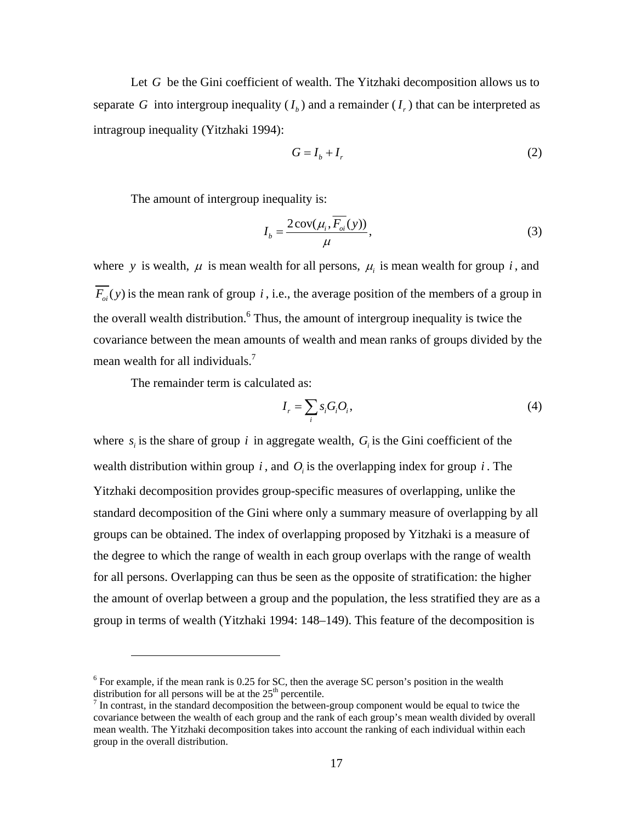Let *G* be the Gini coefficient of wealth. The Yitzhaki decomposition allows us to separate *G* into intergroup inequality  $(I_b)$  and a remainder  $(I_r)$  that can be interpreted as intragroup inequality (Yitzhaki 1994):

$$
G = I_b + I_r \tag{2}
$$

The amount of intergroup inequality is:

$$
I_b = \frac{2\operatorname{cov}(\mu_i, F_{oi}(y))}{\mu},\tag{3}
$$

where *y* is wealth,  $\mu$  is mean wealth for all persons,  $\mu_i$  is mean wealth for group *i*, and  $\overline{F_{n}}(y)$  is the mean rank of group *i*, i.e., the average position of the members of a group in the overall wealth distribution.<sup>6</sup> Thus, the amount of intergroup inequality is twice the covariance between the mean amounts of wealth and mean ranks of groups divided by the mean wealth for all individuals.<sup>7</sup>

The remainder term is calculated as:

 $\overline{a}$ 

$$
I_r = \sum_i s_i G_i O_i, \tag{4}
$$

where  $s_i$  is the share of group  $i$  in aggregate wealth,  $G_i$  is the Gini coefficient of the wealth distribution within group  $i$ , and  $O_i$  is the overlapping index for group  $i$ . The Yitzhaki decomposition provides group-specific measures of overlapping, unlike the standard decomposition of the Gini where only a summary measure of overlapping by all groups can be obtained. The index of overlapping proposed by Yitzhaki is a measure of the degree to which the range of wealth in each group overlaps with the range of wealth for all persons. Overlapping can thus be seen as the opposite of stratification: the higher the amount of overlap between a group and the population, the less stratified they are as a group in terms of wealth (Yitzhaki 1994: 148–149). This feature of the decomposition is

 $6$  For example, if the mean rank is 0.25 for SC, then the average SC person's position in the wealth distribution for all persons will be at the  $25<sup>th</sup>$  percentile.

 $\frac{1}{1}$  In contrast, in the standard decomposition the between-group component would be equal to twice the covariance between the wealth of each group and the rank of each group's mean wealth divided by overall mean wealth. The Yitzhaki decomposition takes into account the ranking of each individual within each group in the overall distribution.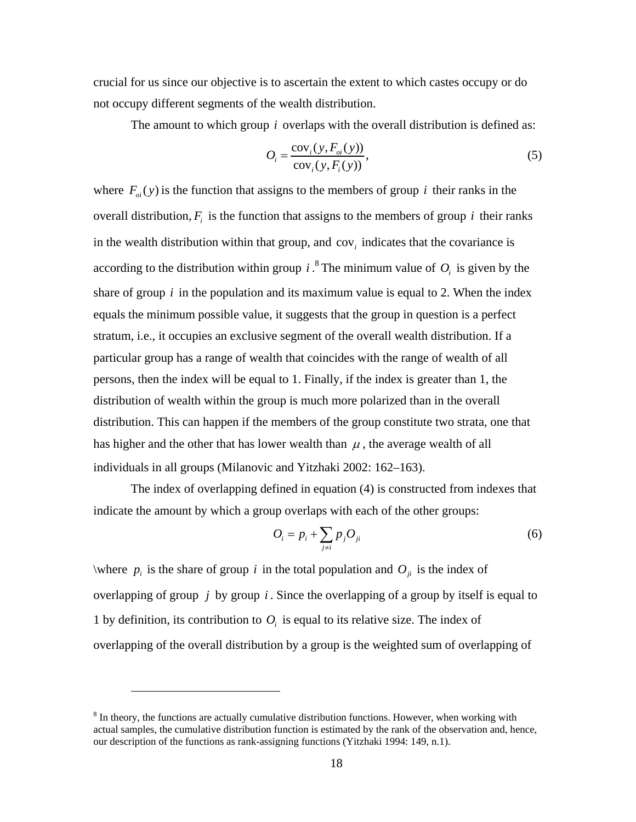crucial for us since our objective is to ascertain the extent to which castes occupy or do not occupy different segments of the wealth distribution.

The amount to which group *i* overlaps with the overall distribution is defined as:

$$
O_i = \frac{\text{cov}_i(y, F_{oi}(y))}{\text{cov}_i(y, F_i(y))},\tag{5}
$$

where  $F_{\alpha}(y)$  is the function that assigns to the members of group *i* their ranks in the overall distribution,  $F_i$  is the function that assigns to the members of group *i* their ranks in the wealth distribution within that group, and cov*i* indicates that the covariance is according to the distribution within group  $i$ .<sup>8</sup> The minimum value of  $O_i$  is given by the share of group  $i$  in the population and its maximum value is equal to 2. When the index equals the minimum possible value, it suggests that the group in question is a perfect stratum, i.e., it occupies an exclusive segment of the overall wealth distribution. If a particular group has a range of wealth that coincides with the range of wealth of all persons, then the index will be equal to 1. Finally, if the index is greater than 1, the distribution of wealth within the group is much more polarized than in the overall distribution. This can happen if the members of the group constitute two strata, one that has higher and the other that has lower wealth than  $\mu$ , the average wealth of all individuals in all groups (Milanovic and Yitzhaki 2002: 162–163).

The index of overlapping defined in equation (4) is constructed from indexes that indicate the amount by which a group overlaps with each of the other groups:

$$
O_i = p_i + \sum_{j \neq i} p_j O_{ji} \tag{6}
$$

\where  $p_i$  is the share of group *i* in the total population and  $O_{ii}$  is the index of overlapping of group *j* by group *i* . Since the overlapping of a group by itself is equal to 1 by definition, its contribution to  $O_i$  is equal to its relative size. The index of overlapping of the overall distribution by a group is the weighted sum of overlapping of

 $\overline{a}$ 

 $8$  In theory, the functions are actually cumulative distribution functions. However, when working with actual samples, the cumulative distribution function is estimated by the rank of the observation and, hence, our description of the functions as rank-assigning functions (Yitzhaki 1994: 149, n.1).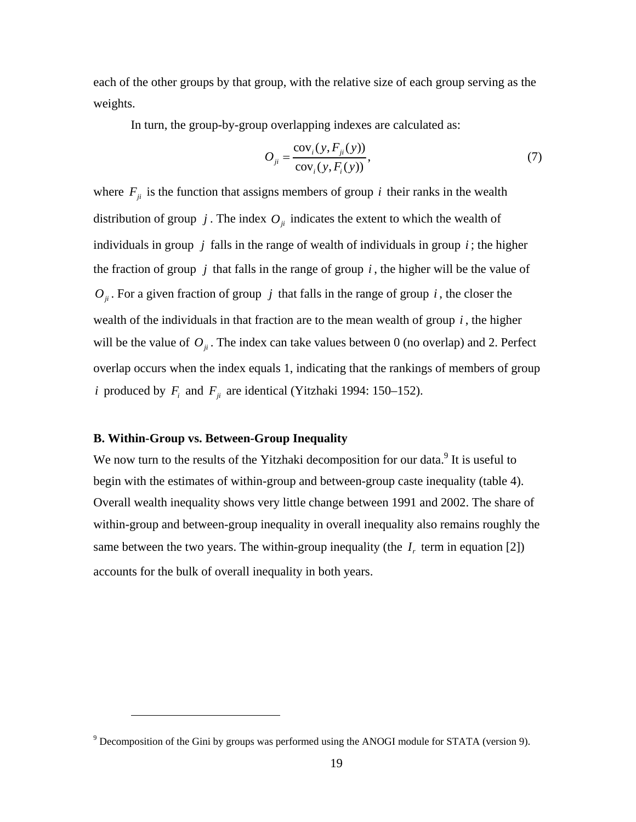each of the other groups by that group, with the relative size of each group serving as the weights.

In turn, the group-by-group overlapping indexes are calculated as:

$$
O_{ji} = \frac{\text{cov}_i(y, F_{ji}(y))}{\text{cov}_i(y, F_i(y))},
$$
\n(7)

where  $F_{ii}$  is the function that assigns members of group *i* their ranks in the wealth distribution of group  $j$ . The index  $O_{ji}$  indicates the extent to which the wealth of individuals in group *j* falls in the range of wealth of individuals in group *i* ; the higher the fraction of group *j* that falls in the range of group *i* , the higher will be the value of  $O_{ii}$ . For a given fraction of group *j* that falls in the range of group *i*, the closer the wealth of the individuals in that fraction are to the mean wealth of group *i* , the higher will be the value of  $O_{ii}$ . The index can take values between 0 (no overlap) and 2. Perfect overlap occurs when the index equals 1, indicating that the rankings of members of group *i* produced by  $F_i$  and  $F_{ji}$  are identical (Yitzhaki 1994: 150–152).

## **B. Within-Group vs. Between-Group Inequality**

 $\overline{a}$ 

We now turn to the results of the Yitzhaki decomposition for our data.<sup>9</sup> It is useful to begin with the estimates of within-group and between-group caste inequality (table 4). Overall wealth inequality shows very little change between 1991 and 2002. The share of within-group and between-group inequality in overall inequality also remains roughly the same between the two years. The within-group inequality (the  $I_r$  term in equation [2]) accounts for the bulk of overall inequality in both years.

 $9^9$  Decomposition of the Gini by groups was performed using the ANOGI module for STATA (version 9).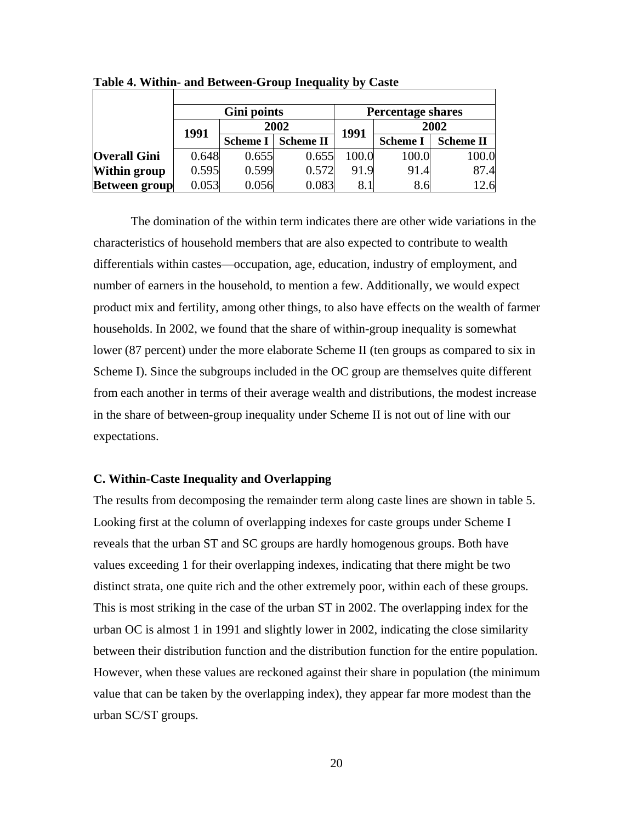|                      |       | Gini points     |                  | <b>Percentage shares</b> |                 |                  |  |  |
|----------------------|-------|-----------------|------------------|--------------------------|-----------------|------------------|--|--|
|                      |       |                 | 2002             |                          | 2002            |                  |  |  |
|                      | 1991  | <b>Scheme I</b> | <b>Scheme II</b> | 1991                     | <b>Scheme I</b> | <b>Scheme II</b> |  |  |
| <b>Overall Gini</b>  | 0.648 | 0.655           | 0.655            | 100.0                    | 100.0           | 100.0            |  |  |
| <b>Within group</b>  | 0.595 | 0.599           | 0.572            | 91.9                     | 91.4            | 87.4             |  |  |
| <b>Between group</b> | 0.053 | 0.056           | 0.083            | 8.1                      | 8.6             | 12.6             |  |  |

**Table 4. Within- and Between-Group Inequality by Caste**

The domination of the within term indicates there are other wide variations in the characteristics of household members that are also expected to contribute to wealth differentials within castes—occupation, age, education, industry of employment, and number of earners in the household, to mention a few. Additionally, we would expect product mix and fertility, among other things, to also have effects on the wealth of farmer households. In 2002, we found that the share of within-group inequality is somewhat lower (87 percent) under the more elaborate Scheme II (ten groups as compared to six in Scheme I). Since the subgroups included in the OC group are themselves quite different from each another in terms of their average wealth and distributions, the modest increase in the share of between-group inequality under Scheme II is not out of line with our expectations.

## **C. Within-Caste Inequality and Overlapping**

The results from decomposing the remainder term along caste lines are shown in table 5. Looking first at the column of overlapping indexes for caste groups under Scheme I reveals that the urban ST and SC groups are hardly homogenous groups. Both have values exceeding 1 for their overlapping indexes, indicating that there might be two distinct strata, one quite rich and the other extremely poor, within each of these groups. This is most striking in the case of the urban ST in 2002. The overlapping index for the urban OC is almost 1 in 1991 and slightly lower in 2002, indicating the close similarity between their distribution function and the distribution function for the entire population. However, when these values are reckoned against their share in population (the minimum value that can be taken by the overlapping index), they appear far more modest than the urban SC/ST groups.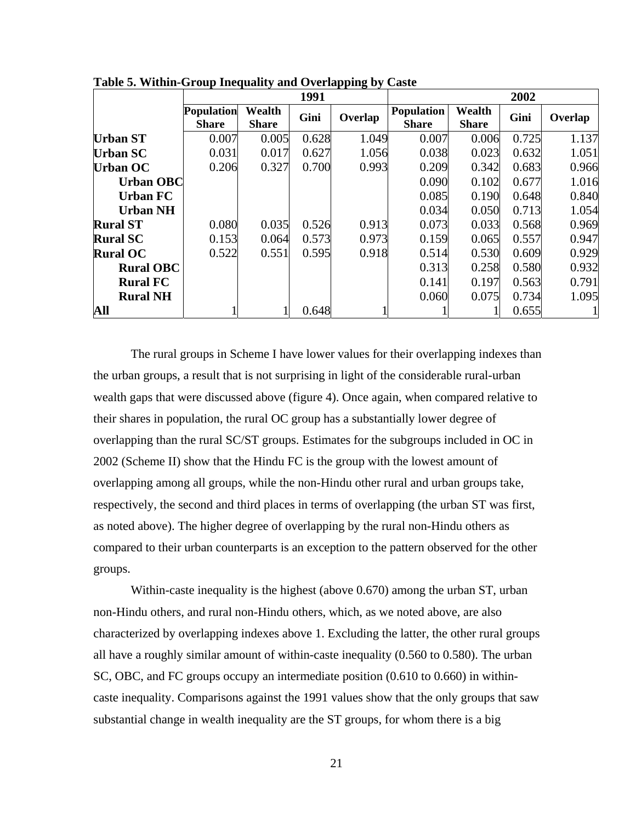|                  |                                   |                        |       | 2002    |                                   |                        |       |         |  |
|------------------|-----------------------------------|------------------------|-------|---------|-----------------------------------|------------------------|-------|---------|--|
|                  | <b>Population</b><br><b>Share</b> | Wealth<br><b>Share</b> | Gini  | Overlap | <b>Population</b><br><b>Share</b> | Wealth<br><b>Share</b> | Gini  | Overlap |  |
| <b>Urban ST</b>  | 0.007                             | 0.005                  | 0.628 | 1.049   | 0.007                             | 0.006                  | 0.725 | 1.137   |  |
| <b>Urban SC</b>  | 0.031                             | 0.017                  | 0.627 | 1.056   | 0.038                             | 0.023                  | 0.632 | 1.051   |  |
| Urban OC         | 0.206                             | 0.327                  | 0.700 | 0.993   | 0.209                             | 0.342                  | 0.683 | 0.966   |  |
| <b>Urban OBC</b> |                                   |                        |       |         | 0.090                             | 0.102                  | 0.677 | 1.016   |  |
| <b>Urban FC</b>  |                                   |                        |       |         | 0.085                             | 0.190                  | 0.648 | 0.840   |  |
| <b>Urban NH</b>  |                                   |                        |       |         | 0.034                             | 0.050                  | 0.713 | 1.054   |  |
| <b>Rural ST</b>  | 0.080                             | 0.035                  | 0.526 | 0.913   | 0.073                             | 0.033                  | 0.568 | 0.969   |  |
| <b>Rural SC</b>  | 0.153                             | 0.064                  | 0.573 | 0.973   | 0.159                             | 0.065                  | 0.557 | 0.947   |  |
| <b>Rural OC</b>  | 0.522                             | 0.551                  | 0.595 | 0.918   | 0.514                             | 0.530                  | 0.609 | 0.929   |  |
| <b>Rural OBC</b> |                                   |                        |       |         | 0.313                             | 0.258                  | 0.580 | 0.932   |  |
| <b>Rural FC</b>  |                                   |                        |       |         | 0.141                             | 0.197                  | 0.563 | 0.791   |  |
| <b>Rural NH</b>  |                                   |                        |       |         | 0.060                             | 0.075                  | 0.734 | 1.095   |  |
| All              |                                   |                        | 0.648 |         |                                   |                        | 0.655 |         |  |

**Table 5. Within-Group Inequality and Overlapping by Caste** 

The rural groups in Scheme I have lower values for their overlapping indexes than the urban groups, a result that is not surprising in light of the considerable rural-urban wealth gaps that were discussed above (figure 4). Once again, when compared relative to their shares in population, the rural OC group has a substantially lower degree of overlapping than the rural SC/ST groups. Estimates for the subgroups included in OC in 2002 (Scheme II) show that the Hindu FC is the group with the lowest amount of overlapping among all groups, while the non-Hindu other rural and urban groups take, respectively, the second and third places in terms of overlapping (the urban ST was first, as noted above). The higher degree of overlapping by the rural non-Hindu others as compared to their urban counterparts is an exception to the pattern observed for the other groups.

Within-caste inequality is the highest (above 0.670) among the urban ST, urban non-Hindu others, and rural non-Hindu others, which, as we noted above, are also characterized by overlapping indexes above 1. Excluding the latter, the other rural groups all have a roughly similar amount of within-caste inequality (0.560 to 0.580). The urban SC, OBC, and FC groups occupy an intermediate position (0.610 to 0.660) in withincaste inequality. Comparisons against the 1991 values show that the only groups that saw substantial change in wealth inequality are the ST groups, for whom there is a big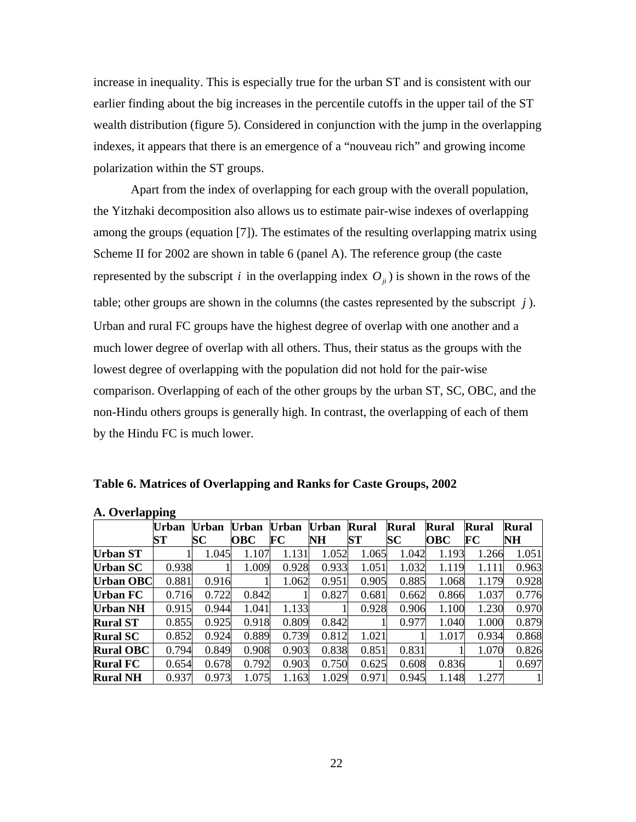increase in inequality. This is especially true for the urban ST and is consistent with our earlier finding about the big increases in the percentile cutoffs in the upper tail of the ST wealth distribution (figure 5). Considered in conjunction with the jump in the overlapping indexes, it appears that there is an emergence of a "nouveau rich" and growing income polarization within the ST groups.

Apart from the index of overlapping for each group with the overall population, the Yitzhaki decomposition also allows us to estimate pair-wise indexes of overlapping among the groups (equation [7]). The estimates of the resulting overlapping matrix using Scheme II for 2002 are shown in table 6 (panel A). The reference group (the caste represented by the subscript *i* in the overlapping index  $O_i$  is shown in the rows of the table; other groups are shown in the columns (the castes represented by the subscript *j* ). Urban and rural FC groups have the highest degree of overlap with one another and a much lower degree of overlap with all others. Thus, their status as the groups with the lowest degree of overlapping with the population did not hold for the pair-wise comparison. Overlapping of each of the other groups by the urban ST, SC, OBC, and the non-Hindu others groups is generally high. In contrast, the overlapping of each of them by the Hindu FC is much lower.

**Table 6. Matrices of Overlapping and Ranks for Caste Groups, 2002** 

| $\cdots$         |                                     |       |              |       |       |                                     |           |       |             |       |  |
|------------------|-------------------------------------|-------|--------------|-------|-------|-------------------------------------|-----------|-------|-------------|-------|--|
|                  | Urban                               | Urban | <b>Urban</b> | Urban | Urban | <b>Rural</b>                        | Rural     | Rural | Rural       | Rural |  |
|                  | $\boldsymbol{\mathrm{S}\mathrm{T}}$ | SС    | OBC          | FC    | NΗ    | $\boldsymbol{\mathrm{S}\mathrm{T}}$ | <b>SC</b> | OBC   | $_{\rm FC}$ | NH    |  |
| <b>Urban ST</b>  |                                     | 1.045 | 1.107        | 1.131 | 1.052 | 1.065                               | 1.042     | 1.193 | 1.266       | 1.051 |  |
| Urban SC         | 0.938                               |       | 1.009        | 0.928 | 0.933 | 1.051                               | 1.032     | 1.119 | 1.111       | 0.963 |  |
| Urban OBC        | 0.881                               | 0.916 |              | 1.062 | 0.951 | 0.905                               | 0.885     | 1.068 | 1.179       | 0.928 |  |
| Urban FC         | 0.716                               | 0.722 | 0.842        |       | 0.827 | 0.681                               | 0.662     | 0.866 | 1.037       | 0.776 |  |
| <b>Urban NH</b>  | 0.915                               | 0.944 | 1.041        | 1.133 |       | 0.928                               | 0.906     | 1.100 | 1.230       | 0.970 |  |
| <b>Rural ST</b>  | 0.855                               | 0.925 | 0.918        | 0.809 | 0.842 |                                     | 0.977     | 1.040 | 1.000       | 0.879 |  |
| <b>Rural SC</b>  | 0.852                               | 0.924 | 0.889        | 0.739 | 0.812 | 1.021                               |           | 1.017 | 0.934       | 0.868 |  |
| <b>Rural OBC</b> | 0.794                               | 0.849 | 0.908        | 0.903 | 0.838 | 0.851                               | 0.831     |       | 1.070       | 0.826 |  |
| <b>Rural FC</b>  | 0.654                               | 0.678 | 0.792        | 0.903 | 0.750 | 0.625                               | 0.608     | 0.836 |             | 0.697 |  |
| <b>Rural NH</b>  | 0.937                               | 0.973 | 1.075        | 1.163 | 1.029 | 0.971                               | 0.945     | 1.148 | 1.277       |       |  |

|  | A. Overlapping |
|--|----------------|
|  |                |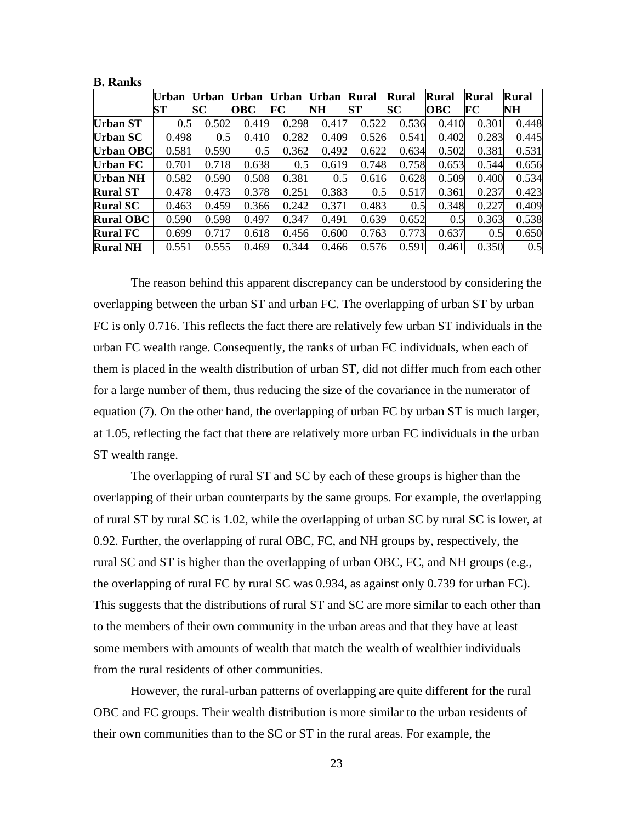|                  | Urban     | Urban | <b>Urban</b> | Urban | Urban | Rural     | Rural | Rural      | Rural | Rural |
|------------------|-----------|-------|--------------|-------|-------|-----------|-------|------------|-------|-------|
|                  | <b>ST</b> | SС    | <b>OBC</b>   | FC    | NH    | <b>ST</b> | SC    | <b>OBC</b> | FC    | NH    |
| <b>Urban ST</b>  | 0.5       | 0.502 | 0.419        | 0.298 | 0.417 | 0.522     | 0.536 | 0.410      | 0.301 | 0.448 |
| <b>Urban SC</b>  | 0.498     | 0.5   | 0.410        | 0.282 | 0.409 | 0.526     | 0.541 | 0.402      | 0.283 | 0.445 |
| Urban OBC        | 0.581     | 0.590 | 0.5          | 0.362 | 0.492 | 0.622     | 0.634 | 0.502      | 0.381 | 0.531 |
| Urban FC         | 0.701     | 0.718 | 0.638        | 0.5   | 0.619 | 0.748     | 0.758 | 0.653      | 0.544 | 0.656 |
| Urban NH         | 0.582     | 0.590 | 0.508        | 0.381 | 0.5   | 0.616     | 0.628 | 0.509      | 0.400 | 0.534 |
| <b>Rural ST</b>  | 0.478     | 0.473 | 0.378        | 0.251 | 0.383 | 0.5       | 0.517 | 0.361      | 0.237 | 0.423 |
| <b>Rural SC</b>  | 0.463     | 0.459 | 0.366        | 0.242 | 0.371 | 0.483     | 0.5   | 0.348      | 0.227 | 0.409 |
| <b>Rural OBC</b> | 0.590     | 0.598 | 0.497        | 0.347 | 0.491 | 0.639     | 0.652 | 0.5        | 0.363 | 0.538 |
| <b>Rural FC</b>  | 0.699     | 0.717 | 0.618        | 0.456 | 0.600 | 0.763     | 0.773 | 0.637      | 0.5   | 0.650 |
| <b>Rural NH</b>  | 0.551     | 0.555 | 0.469        | 0.344 | 0.466 | 0.576     | 0.591 | 0.461      | 0.350 | 0.5   |

**B. Ranks** 

The reason behind this apparent discrepancy can be understood by considering the overlapping between the urban ST and urban FC. The overlapping of urban ST by urban FC is only 0.716. This reflects the fact there are relatively few urban ST individuals in the urban FC wealth range. Consequently, the ranks of urban FC individuals, when each of them is placed in the wealth distribution of urban ST, did not differ much from each other for a large number of them, thus reducing the size of the covariance in the numerator of equation (7). On the other hand, the overlapping of urban FC by urban ST is much larger, at 1.05, reflecting the fact that there are relatively more urban FC individuals in the urban ST wealth range.

The overlapping of rural ST and SC by each of these groups is higher than the overlapping of their urban counterparts by the same groups. For example, the overlapping of rural ST by rural SC is 1.02, while the overlapping of urban SC by rural SC is lower, at 0.92. Further, the overlapping of rural OBC, FC, and NH groups by, respectively, the rural SC and ST is higher than the overlapping of urban OBC, FC, and NH groups (e.g., the overlapping of rural FC by rural SC was 0.934, as against only 0.739 for urban FC). This suggests that the distributions of rural ST and SC are more similar to each other than to the members of their own community in the urban areas and that they have at least some members with amounts of wealth that match the wealth of wealthier individuals from the rural residents of other communities.

However, the rural-urban patterns of overlapping are quite different for the rural OBC and FC groups. Their wealth distribution is more similar to the urban residents of their own communities than to the SC or ST in the rural areas. For example, the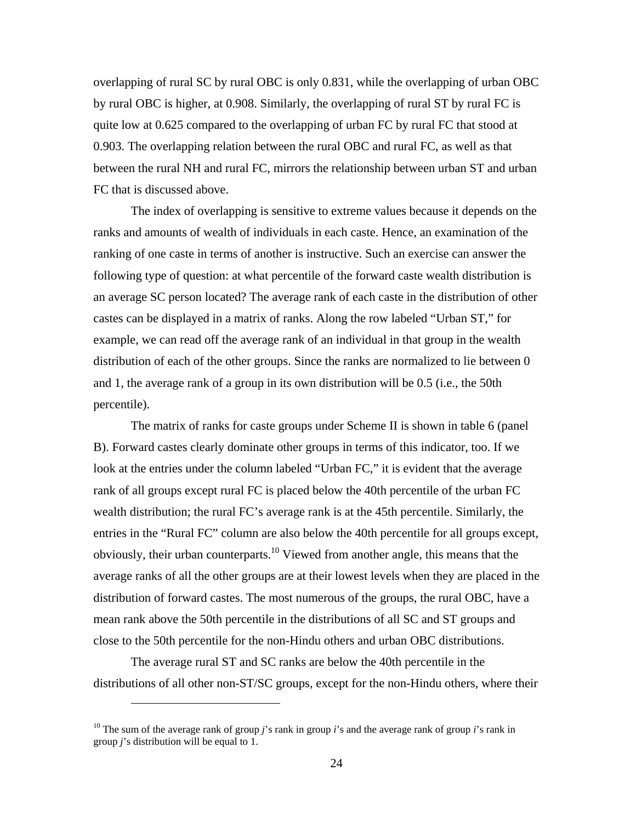overlapping of rural SC by rural OBC is only 0.831, while the overlapping of urban OBC by rural OBC is higher, at 0.908. Similarly, the overlapping of rural ST by rural FC is quite low at 0.625 compared to the overlapping of urban FC by rural FC that stood at 0.903. The overlapping relation between the rural OBC and rural FC, as well as that between the rural NH and rural FC, mirrors the relationship between urban ST and urban FC that is discussed above.

The index of overlapping is sensitive to extreme values because it depends on the ranks and amounts of wealth of individuals in each caste. Hence, an examination of the ranking of one caste in terms of another is instructive. Such an exercise can answer the following type of question: at what percentile of the forward caste wealth distribution is an average SC person located? The average rank of each caste in the distribution of other castes can be displayed in a matrix of ranks. Along the row labeled "Urban ST," for example, we can read off the average rank of an individual in that group in the wealth distribution of each of the other groups. Since the ranks are normalized to lie between 0 and 1, the average rank of a group in its own distribution will be 0.5 (i.e., the 50th percentile).

The matrix of ranks for caste groups under Scheme II is shown in table 6 (panel B). Forward castes clearly dominate other groups in terms of this indicator, too. If we look at the entries under the column labeled "Urban FC," it is evident that the average rank of all groups except rural FC is placed below the 40th percentile of the urban FC wealth distribution; the rural FC's average rank is at the 45th percentile. Similarly, the entries in the "Rural FC" column are also below the 40th percentile for all groups except, obviously, their urban counterparts.10 Viewed from another angle, this means that the average ranks of all the other groups are at their lowest levels when they are placed in the distribution of forward castes. The most numerous of the groups, the rural OBC, have a mean rank above the 50th percentile in the distributions of all SC and ST groups and close to the 50th percentile for the non-Hindu others and urban OBC distributions.

The average rural ST and SC ranks are below the 40th percentile in the distributions of all other non-ST/SC groups, except for the non-Hindu others, where their

<sup>10</sup> The sum of the average rank of group *j*'s rank in group *i*'s and the average rank of group *i*'s rank in group *j*'s distribution will be equal to 1.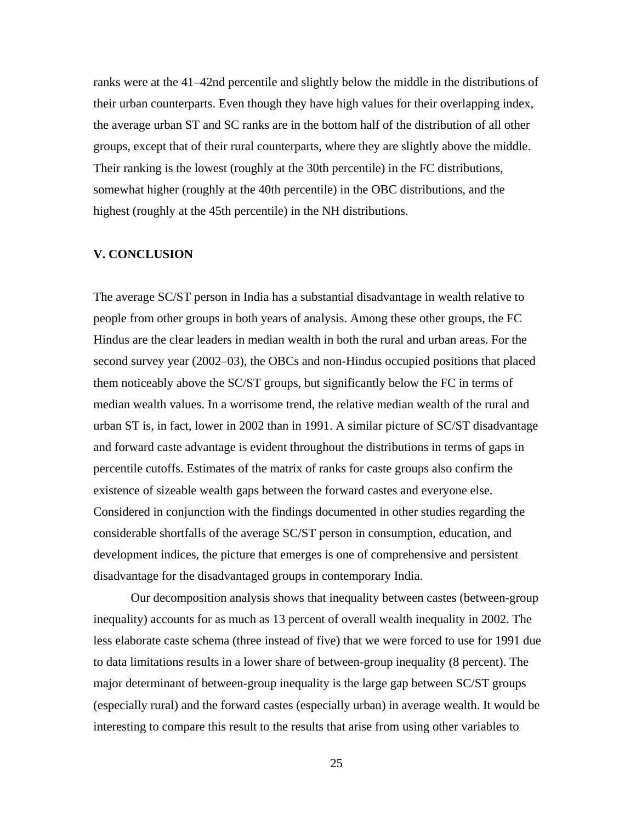ranks were at the 41–42nd percentile and slightly below the middle in the distributions of their urban counterparts. Even though they have high values for their overlapping index, the average urban ST and SC ranks are in the bottom half of the distribution of all other groups, except that of their rural counterparts, where they are slightly above the middle. Their ranking is the lowest (roughly at the 30th percentile) in the FC distributions, somewhat higher (roughly at the 40th percentile) in the OBC distributions, and the highest (roughly at the 45th percentile) in the NH distributions.

### **V. CONCLUSION**

The average SC/ST person in India has a substantial disadvantage in wealth relative to people from other groups in both years of analysis. Among these other groups, the FC Hindus are the clear leaders in median wealth in both the rural and urban areas. For the second survey year (2002–03), the OBCs and non-Hindus occupied positions that placed them noticeably above the SC/ST groups, but significantly below the FC in terms of median wealth values. In a worrisome trend, the relative median wealth of the rural and urban ST is, in fact, lower in 2002 than in 1991. A similar picture of SC/ST disadvantage and forward caste advantage is evident throughout the distributions in terms of gaps in percentile cutoffs. Estimates of the matrix of ranks for caste groups also confirm the existence of sizeable wealth gaps between the forward castes and everyone else. Considered in conjunction with the findings documented in other studies regarding the considerable shortfalls of the average SC/ST person in consumption, education, and development indices, the picture that emerges is one of comprehensive and persistent disadvantage for the disadvantaged groups in contemporary India.

Our decomposition analysis shows that inequality between castes (between-group inequality) accounts for as much as 13 percent of overall wealth inequality in 2002. The less elaborate caste schema (three instead of five) that we were forced to use for 1991 due to data limitations results in a lower share of between-group inequality (8 percent). The major determinant of between-group inequality is the large gap between SC/ST groups (especially rural) and the forward castes (especially urban) in average wealth. It would be interesting to compare this result to the results that arise from using other variables to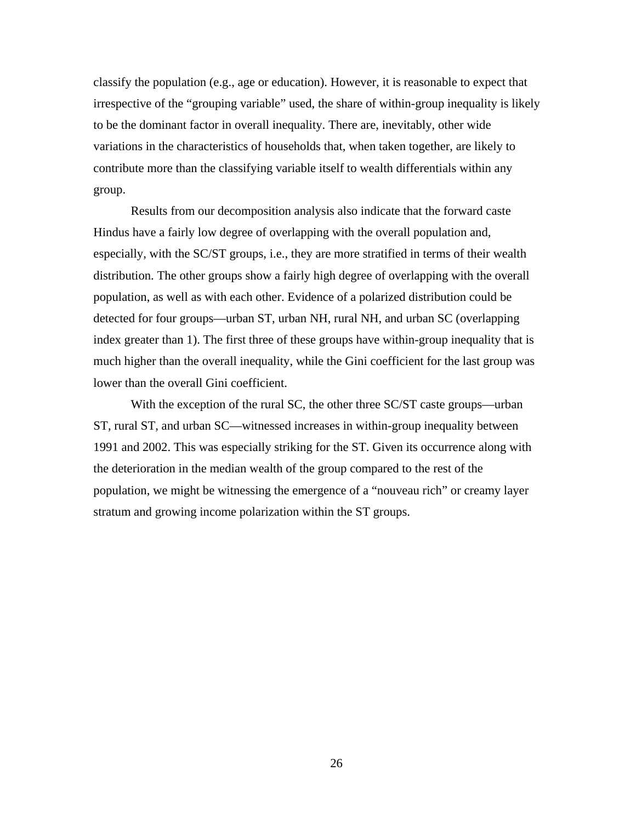classify the population (e.g., age or education). However, it is reasonable to expect that irrespective of the "grouping variable" used, the share of within-group inequality is likely to be the dominant factor in overall inequality. There are, inevitably, other wide variations in the characteristics of households that, when taken together, are likely to contribute more than the classifying variable itself to wealth differentials within any group.

Results from our decomposition analysis also indicate that the forward caste Hindus have a fairly low degree of overlapping with the overall population and, especially, with the SC/ST groups, i.e., they are more stratified in terms of their wealth distribution. The other groups show a fairly high degree of overlapping with the overall population, as well as with each other. Evidence of a polarized distribution could be detected for four groups—urban ST, urban NH, rural NH, and urban SC (overlapping index greater than 1). The first three of these groups have within-group inequality that is much higher than the overall inequality, while the Gini coefficient for the last group was lower than the overall Gini coefficient.

With the exception of the rural SC, the other three SC/ST caste groups—urban ST, rural ST, and urban SC—witnessed increases in within-group inequality between 1991 and 2002. This was especially striking for the ST. Given its occurrence along with the deterioration in the median wealth of the group compared to the rest of the population, we might be witnessing the emergence of a "nouveau rich" or creamy layer stratum and growing income polarization within the ST groups.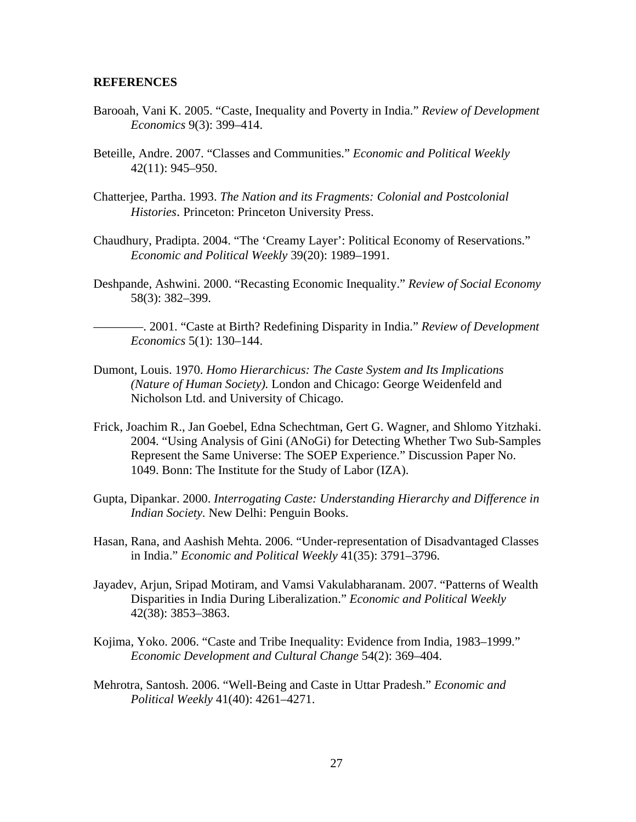#### **REFERENCES**

- Barooah, Vani K. 2005. "Caste, Inequality and Poverty in India." *Review of Development Economics* 9(3): 399–414.
- Beteille, Andre. 2007. "Classes and Communities." *Economic and Political Weekly* 42(11): 945–950.
- Chatterjee, Partha. 1993. *The Nation and its Fragments: Colonial and Postcolonial Histories*. Princeton: Princeton University Press.
- Chaudhury, Pradipta. 2004. "The 'Creamy Layer': Political Economy of Reservations." *Economic and Political Weekly* 39(20): 1989–1991.
- Deshpande, Ashwini. 2000. "Recasting Economic Inequality." *Review of Social Economy*  58(3): 382–399.

————. 2001. "Caste at Birth? Redefining Disparity in India." *Review of Development Economics* 5(1): 130–144.

- Dumont, Louis. 1970. *Homo Hierarchicus: The Caste System and Its Implications (Nature of Human Society).* London and Chicago: George Weidenfeld and Nicholson Ltd. and University of Chicago.
- Frick, Joachim R., Jan Goebel, Edna Schechtman, Gert G. Wagner, and Shlomo Yitzhaki. 2004. "Using Analysis of Gini (ANoGi) for Detecting Whether Two Sub-Samples Represent the Same Universe: The SOEP Experience." Discussion Paper No. 1049. Bonn: The Institute for the Study of Labor (IZA).
- Gupta, Dipankar. 2000. *Interrogating Caste: Understanding Hierarchy and Difference in Indian Society.* New Delhi: Penguin Books.
- Hasan, Rana, and Aashish Mehta. 2006. "Under-representation of Disadvantaged Classes in India." *Economic and Political Weekly* 41(35): 3791–3796.
- Jayadev, Arjun, Sripad Motiram, and Vamsi Vakulabharanam. 2007. "Patterns of Wealth Disparities in India During Liberalization." *Economic and Political Weekly* 42(38): 3853–3863.
- Kojima, Yoko. 2006. "Caste and Tribe Inequality: Evidence from India, 1983–1999." *Economic Development and Cultural Change* 54(2): 369–404.
- Mehrotra, Santosh. 2006. "Well-Being and Caste in Uttar Pradesh." *Economic and Political Weekly* 41(40): 4261–4271.